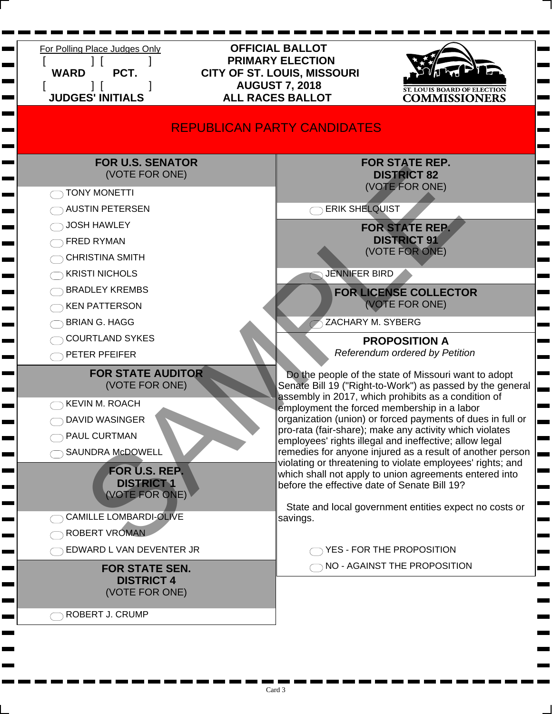| For Polling Place Judges Only<br><b>WARD</b><br>PCT.<br><b>JUDGES' INITIALS</b>                                                                                                                                                                                                                | <b>OFFICIAL BALLOT</b><br><b>PRIMARY ELECTION</b><br>CITY OF ST. LOUIS, MISSOURI<br><b>AUGUST 7, 2018</b><br><b>T. LOUIS BOARD OF ELECTION</b><br><b>ALL RACES BALLOT</b><br><b>COMMISSIONERS</b>                                                                                                                                                                                                                                                                                                                                                                                                                                                                                                                                                                                                                    |  |
|------------------------------------------------------------------------------------------------------------------------------------------------------------------------------------------------------------------------------------------------------------------------------------------------|----------------------------------------------------------------------------------------------------------------------------------------------------------------------------------------------------------------------------------------------------------------------------------------------------------------------------------------------------------------------------------------------------------------------------------------------------------------------------------------------------------------------------------------------------------------------------------------------------------------------------------------------------------------------------------------------------------------------------------------------------------------------------------------------------------------------|--|
| <b>REPUBLICAN PARTY CANDIDATES</b>                                                                                                                                                                                                                                                             |                                                                                                                                                                                                                                                                                                                                                                                                                                                                                                                                                                                                                                                                                                                                                                                                                      |  |
| <b>FOR U.S. SENATOR</b><br>(VOTE FOR ONE)<br><b>TONY MONETTI</b><br><b>AUSTIN PETERSEN</b><br><b>JOSH HAWLEY</b><br><b>FRED RYMAN</b><br><b>CHRISTINA SMITH</b><br><b>KRISTI NICHOLS</b><br><b>BRADLEY KREMBS</b><br><b>KEN PATTERSON</b><br><b>BRIAN G. HAGG</b><br><b>COURTLAND SYKES</b>    | <b>FOR STATE REP.</b><br><b>DISTRICT 82</b><br>(VOTE FOR ONE)<br><b>ERIK SHELQUIST</b><br><b>FOR STATE REP.</b><br><b>DISTRICT 91</b><br>(VOTE FOR ONE)<br><b>JENNIFER BIRD</b><br><b>FOR LICENSE COLLECTOR</b><br>(VOTE FOR ONE)<br>ZACHARY M. SYBERG<br><b>PROPOSITION A</b>                                                                                                                                                                                                                                                                                                                                                                                                                                                                                                                                       |  |
| PETER PFEIFER<br><b>FOR STATE AUDITOR</b><br>(VOTE FOR ONE)<br><b>KEVIN M. ROACH</b><br><b>DAVID WASINGER</b><br>PAUL CURTMAN<br><b>SAUNDRA McDOWELL</b><br>FOR U.S. REP.<br><b>DISTRICT 1</b><br>(VOTE FOR ONE)<br><b>CAMILLE LOMBARDI-OLIVE</b><br>ROBERT VROMAN<br>EDWARD L VAN DEVENTER JR | Referendum ordered by Petition<br>Do the people of the state of Missouri want to adopt<br>Senate Bill 19 ("Right-to-Work") as passed by the general<br>assembly in 2017, which prohibits as a condition of<br>employment the forced membership in a labor<br>organization (union) or forced payments of dues in full or<br>pro-rata (fair-share); make any activity which violates<br>employees' rights illegal and ineffective; allow legal<br>remedies for anyone injured as a result of another person<br>violating or threatening to violate employees' rights; and<br>which shall not apply to union agreements entered into<br>before the effective date of Senate Bill 19?<br>State and local government entities expect no costs or<br>savings.<br>YES - FOR THE PROPOSITION<br>NO - AGAINST THE PROPOSITION |  |
| <b>FOR STATE SEN.</b><br><b>DISTRICT 4</b><br>(VOTE FOR ONE)<br>ROBERT J. CRUMP                                                                                                                                                                                                                |                                                                                                                                                                                                                                                                                                                                                                                                                                                                                                                                                                                                                                                                                                                                                                                                                      |  |

٠

e

٠

 $\blacksquare$ 

г

г

and the

a an

п

**The Co** 

п п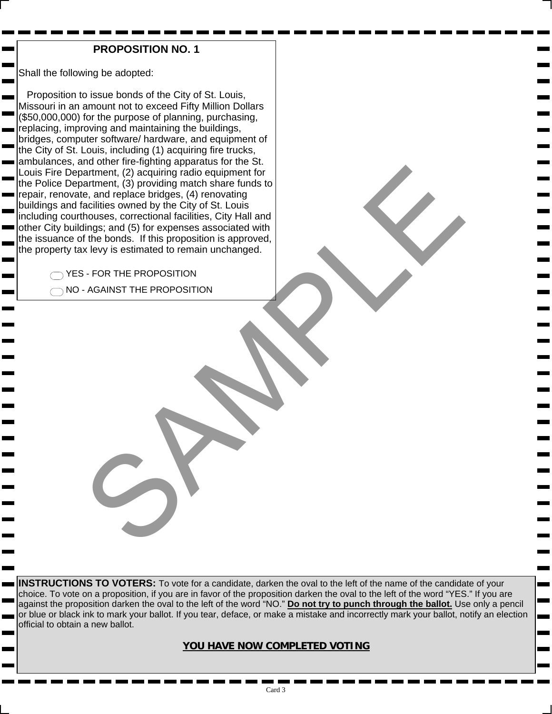### **PROPOSITION NO. 1**

Shall the following be adopted:

 $\overline{\phantom{a}}$ 

m.

 Proposition to issue bonds of the City of St. Louis, Missouri in an amount not to exceed Fifty Million Dollars (\$50,000,000) for the purpose of planning, purchasing, replacing, improving and maintaining the buildings, bridges, computer software/ hardware, and equipment of the City of St. Louis, including (1) acquiring fire trucks, ambulances, and other fire-fighting apparatus for the St. Louis Fire Department, (2) acquiring radio equipment for the Police Department, (3) providing match share funds to repair, renovate, and replace bridges, (4) renovating buildings and facilities owned by the City of St. Louis including courthouses, correctional facilities, City Hall and other City buildings; and (5) for expenses associated with the issuance of the bonds. If this proposition is approved, the property tax levy is estimated to remain unchanged. International Control of the Control of the Control of the Control of the Control of the Control of the Control of the Control of the Control of the Control of the Control of the Control of the Control of the Control of th

◯ YES - FOR THE PROPOSITION  $\bigcirc$  NO - AGAINST THE PROPOSITION

**INSTRUCTIONS TO VOTERS:** To vote for a candidate, darken the oval to the left of the name of the candidate of your choice. To vote on a proposition, if you are in favor of the proposition darken the oval to the left of the word "YES." If you are against the proposition darken the oval to the left of the word "NO." **Do not try to punch through the ballot.** Use only a pencil or blue or black ink to mark your ballot. If you tear, deface, or make a mistake and incorrectly mark your ballot, notify an election official to obtain a new ballot.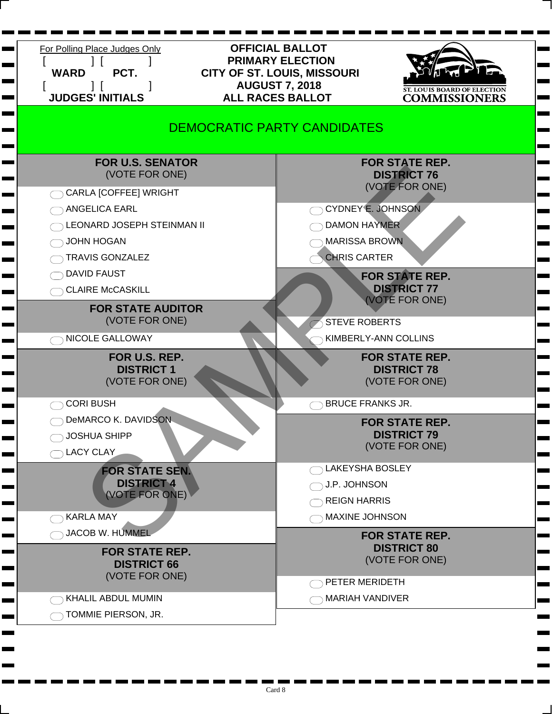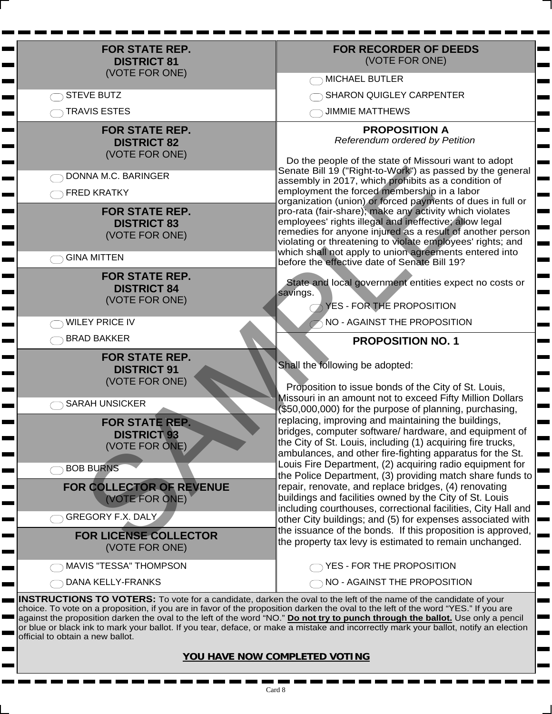| <b>FOR STATE REP.</b><br><b>DISTRICT 81</b><br>(VOTE FOR ONE)                                                                                                                                                                                    | <b>FOR RECORDER OF DEEDS</b><br>(VOTE FOR ONE)                                                                                                                                                                                                                                                                                                                                                                                                                                                                                                                                                                                                                                                                                                                                  |  |
|--------------------------------------------------------------------------------------------------------------------------------------------------------------------------------------------------------------------------------------------------|---------------------------------------------------------------------------------------------------------------------------------------------------------------------------------------------------------------------------------------------------------------------------------------------------------------------------------------------------------------------------------------------------------------------------------------------------------------------------------------------------------------------------------------------------------------------------------------------------------------------------------------------------------------------------------------------------------------------------------------------------------------------------------|--|
|                                                                                                                                                                                                                                                  | <b>MICHAEL BUTLER</b><br><b>The Color</b>                                                                                                                                                                                                                                                                                                                                                                                                                                                                                                                                                                                                                                                                                                                                       |  |
| <b>STEVE BUTZ</b>                                                                                                                                                                                                                                | <b>SHARON QUIGLEY CARPENTER</b>                                                                                                                                                                                                                                                                                                                                                                                                                                                                                                                                                                                                                                                                                                                                                 |  |
| <b>TRAVIS ESTES</b>                                                                                                                                                                                                                              | <b>JIMMIE MATTHEWS</b>                                                                                                                                                                                                                                                                                                                                                                                                                                                                                                                                                                                                                                                                                                                                                          |  |
| <b>FOR STATE REP.</b><br><b>DISTRICT 82</b><br>(VOTE FOR ONE)<br>DONNA M.C. BARINGER<br><b>FRED KRATKY</b><br><b>FOR STATE REP.</b><br><b>DISTRICT 83</b><br>(VOTE FOR ONE)<br><b>GINA MITTEN</b><br><b>FOR STATE REP.</b><br><b>DISTRICT 84</b> | <b>PROPOSITION A</b><br>Referendum ordered by Petition<br>Do the people of the state of Missouri want to adopt<br>Senate Bill 19 ("Right-to-Work") as passed by the general<br>assembly in 2017, which prohibits as a condition of<br>employment the forced membership in a labor<br>organization (union) or forced payments of dues in full or<br>pro-rata (fair-share); make any activity which violates<br>employees' rights illegal and ineffective; allow legal<br>remedies for anyone injured as a result of another person<br>violating or threatening to violate employees' rights; and<br>which shall not apply to union agreements entered into<br>before the effective date of Senate Bill 19?<br>State and local government entities expect no costs or<br>savings. |  |
| (VOTE FOR ONE)<br><b>WILEY PRICE IV</b>                                                                                                                                                                                                          | $\neg$ YES - FOR THE PROPOSITION<br>NO - AGAINST THE PROPOSITION                                                                                                                                                                                                                                                                                                                                                                                                                                                                                                                                                                                                                                                                                                                |  |
| <b>BRAD BAKKER</b>                                                                                                                                                                                                                               | <b>PROPOSITION NO. 1</b>                                                                                                                                                                                                                                                                                                                                                                                                                                                                                                                                                                                                                                                                                                                                                        |  |
| <b>FOR STATE REP.</b><br><b>DISTRICT 91</b><br>(VOTE FOR ONE)<br><b>SARAH UNSICKER</b><br><b>FOR STATE REP.</b><br><b>DISTRICT 93</b><br>(VOTE FOR ONE)                                                                                          | Shall the following be adopted:<br>Proposition to issue bonds of the City of St. Louis,<br>Missouri in an amount not to exceed Fifty Million Dollars<br>(\$50,000,000) for the purpose of planning, purchasing,<br>replacing, improving and maintaining the buildings,<br>bridges, computer software/ hardware, and equipment of<br>the City of St. Louis, including (1) acquiring fire trucks,                                                                                                                                                                                                                                                                                                                                                                                 |  |
|                                                                                                                                                                                                                                                  | ambulances, and other fire-fighting apparatus for the St.<br>Louis Fire Department, (2) acquiring radio equipment for                                                                                                                                                                                                                                                                                                                                                                                                                                                                                                                                                                                                                                                           |  |
| <b>BOB BURNS</b><br>FOR COLLECTOR OF REVENUE<br>(VOTE FOR ONE)                                                                                                                                                                                   | the Police Department, (3) providing match share funds to<br>repair, renovate, and replace bridges, (4) renovating<br>buildings and facilities owned by the City of St. Louis<br>including courthouses, correctional facilities, City Hall and                                                                                                                                                                                                                                                                                                                                                                                                                                                                                                                                  |  |
| <b>GREGORY F.X. DALY</b><br><b>FOR LICENSE COLLECTOR</b><br>(VOTE FOR ONE)                                                                                                                                                                       | other City buildings; and (5) for expenses associated with<br>the issuance of the bonds. If this proposition is approved,<br>the property tax levy is estimated to remain unchanged.                                                                                                                                                                                                                                                                                                                                                                                                                                                                                                                                                                                            |  |
| MAVIS "TESSA" THOMPSON                                                                                                                                                                                                                           | YES - FOR THE PROPOSITION                                                                                                                                                                                                                                                                                                                                                                                                                                                                                                                                                                                                                                                                                                                                                       |  |
| DANA KELLY-FRANKS                                                                                                                                                                                                                                | NO - AGAINST THE PROPOSITION                                                                                                                                                                                                                                                                                                                                                                                                                                                                                                                                                                                                                                                                                                                                                    |  |
| <b>INSTRUCTIONS TO VOTERS:</b> To vote for a candidate, darken the oval to the left of the name of the candidate of your                                                                                                                         |                                                                                                                                                                                                                                                                                                                                                                                                                                                                                                                                                                                                                                                                                                                                                                                 |  |

 $\mathbf{r}$ 

 $\blacksquare$ 

**Contract** 

m. ь **The Second** 

**Contract** Н **Contract** 

г

 $\sim$ 

Н Н **The Second** 

 $\blacksquare$ 

**Contract** Н ٠ **Contract** 

 $\overline{\phantom{0}}$ Н г **The Second** 

man and the second second second second second second second second second second second second second second second second second second second second second second second second second second second second second second ь

**The Second** 

 $\mathbf{r}$ 

Е

 $\blacksquare$  $\blacksquare$  choice. To vote on a proposition, if you are in favor of the proposition darken the oval to the left of the word "YES." If you are against the proposition darken the oval to the left of the word "NO." **Do not try to punch through the ballot.** Use only a pencil or blue or black ink to mark your ballot. If you tear, deface, or make a mistake and incorrectly mark your ballot, notify an election official to obtain a new ballot.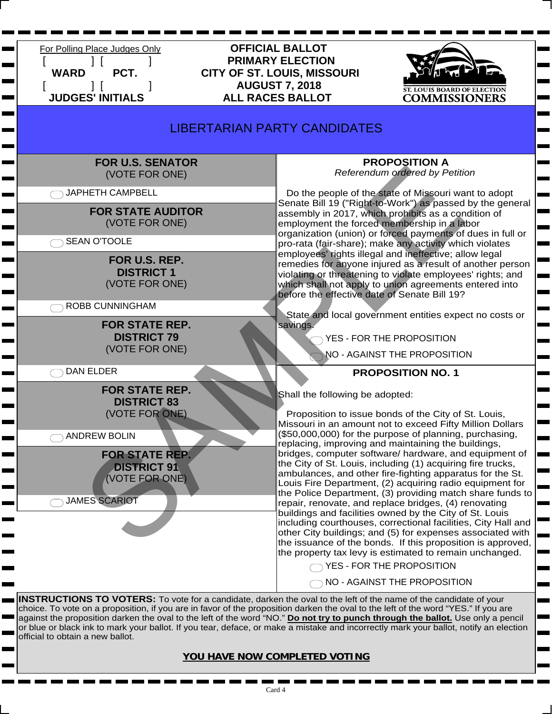

choice. To vote on a proposition, if you are in favor of the proposition darken the oval to the left of the word "YES." If you are against the proposition darken the oval to the left of the word "NO." **Do not try to punch through the ballot.** Use only a pencil or blue or black ink to mark your ballot. If you tear, deface, or make a mistake and incorrectly mark your ballot, notify an election official to obtain a new ballot.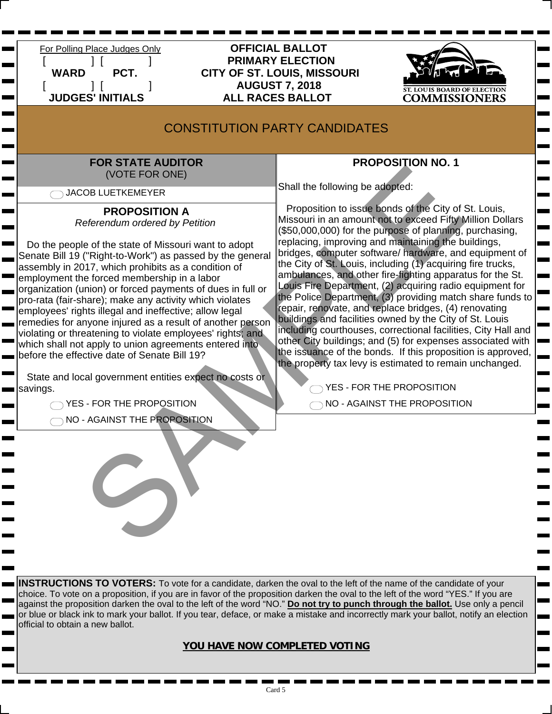

 For Polling Place Judges Only **OFFICIAL BALLOT** [ ] [ ] **PRIMARY ELECTION WARD PCT. CITY OF ST. LOUIS, MISSOURI** [ ] [ ] **AUGUST 7, 2018 ALL RACES BALLOT** 



 $\mathbf{r}$ 

 $\sim$ 

# CONSTITUTION PARTY CANDIDATES

### **FOR STATE AUDITOR** (VOTE FOR ONE)

◯ JACOB LUETKEMEYER

 $\mathbf{r}$ 

ь

 $\overline{\phantom{a}}$ 

**The Second** 

# **PROPOSITION A**

*Referendum ordered by Petition*

 Do the people of the state of Missouri want to adopt Senate Bill 19 ("Right-to-Work") as passed by the general assembly in 2017, which prohibits as a condition of employment the forced membership in a labor organization (union) or forced payments of dues in full or pro-rata (fair-share); make any activity which violates employees' rights illegal and ineffective; allow legal remedies for anyone injured as a result of another person violating or threatening to violate employees' rights; and which shall not apply to union agreements entered into before the effective date of Senate Bill 19?

 State and local government entities expect no costs or savings.

THE PROPOSITION

ONO - AGAINST THE PROPOSITION

# **PROPOSITION NO. 1**

Shall the following be adopted:

 Proposition to issue bonds of the City of St. Louis, Missouri in an amount not to exceed Fifty Million Dollars (\$50,000,000) for the purpose of planning, purchasing, replacing, improving and maintaining the buildings, bridges, computer software/ hardware, and equipment of the City of St. Louis, including (1) acquiring fire trucks, ambulances, and other fire-fighting apparatus for the St. Louis Fire Department, (2) acquiring radio equipment for the Police Department, (3) providing match share funds to repair, renovate, and replace bridges, (4) renovating buildings and facilities owned by the City of St. Louis including courthouses, correctional facilities, City Hall and other City buildings; and (5) for expenses associated with the issuance of the bonds. If this proposition is approved, the property tax levy is estimated to remain unchanged. FOR ONE FOR ONE (VOTE FOR ONE)<br>
SAMPLE TO CONSIDENT AND THE PROPOSITION A<br>
PROPOSITION A Proposition to issel a degree of planeting<br>
leading the distribution of the City of the City of the City of the City of the City of P

THE PROPOSITION  $\bigcap$  NO - AGAINST THE PROPOSITION

**INSTRUCTIONS TO VOTERS:** To vote for a candidate, darken the oval to the left of the name of the candidate of your choice. To vote on a proposition, if you are in favor of the proposition darken the oval to the left of the word "YES." If you are against the proposition darken the oval to the left of the word "NO." **Do not try to punch through the ballot.** Use only a pencil or blue or black ink to mark your ballot. If you tear, deface, or make a mistake and incorrectly mark your ballot, notify an election official to obtain a new ballot.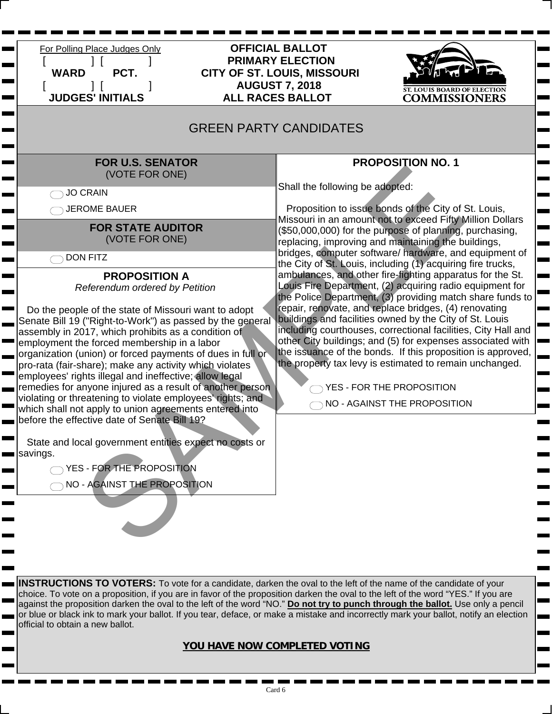| For Polling Place Judges Only<br><b>WARD</b><br>PCT.<br><b>JUDGES' INITIALS</b>                                                                                                                                                                                                                                                                                                                                                                                                                                                                                                                                                                                                                                                                                                                                                                                                                                                                                                               | <b>OFFICIAL BALLOT</b><br><b>PRIMARY ELECTION</b><br><b>CITY OF ST. LOUIS, MISSOURI</b><br><b>AUGUST 7, 2018</b><br><b>ALL RACES BALLOT</b> | COMMISSIONERS                                                                                                                                                                                                                                                                                                                                                                                                                                                                                                                                                                                                                                                                                                                                                                                                                                                                                                                                                                                                            |
|-----------------------------------------------------------------------------------------------------------------------------------------------------------------------------------------------------------------------------------------------------------------------------------------------------------------------------------------------------------------------------------------------------------------------------------------------------------------------------------------------------------------------------------------------------------------------------------------------------------------------------------------------------------------------------------------------------------------------------------------------------------------------------------------------------------------------------------------------------------------------------------------------------------------------------------------------------------------------------------------------|---------------------------------------------------------------------------------------------------------------------------------------------|--------------------------------------------------------------------------------------------------------------------------------------------------------------------------------------------------------------------------------------------------------------------------------------------------------------------------------------------------------------------------------------------------------------------------------------------------------------------------------------------------------------------------------------------------------------------------------------------------------------------------------------------------------------------------------------------------------------------------------------------------------------------------------------------------------------------------------------------------------------------------------------------------------------------------------------------------------------------------------------------------------------------------|
| <b>GREEN PARTY CANDIDATES</b>                                                                                                                                                                                                                                                                                                                                                                                                                                                                                                                                                                                                                                                                                                                                                                                                                                                                                                                                                                 |                                                                                                                                             |                                                                                                                                                                                                                                                                                                                                                                                                                                                                                                                                                                                                                                                                                                                                                                                                                                                                                                                                                                                                                          |
| <b>FOR U.S. SENATOR</b><br>(VOTE FOR ONE)<br>JO CRAIN<br><b>JEROME BAUER</b><br><b>FOR STATE AUDITOR</b><br>(VOTE FOR ONE)<br><b>DON FITZ</b><br><b>PROPOSITION A</b><br>Referendum ordered by Petition<br>Do the people of the state of Missouri want to adopt<br>Senate Bill 19 ("Right-to-Work") as passed by the general<br>assembly in 2017, which prohibits as a condition of<br>employment the forced membership in a labor<br>organization (union) or forced payments of dues in full or<br>pro-rata (fair-share); make any activity which violates<br>employees' rights illegal and ineffective; allow legal<br>remedies for anyone injured as a result of another person<br>violating or threatening to violate employees' rights; and<br>which shall not apply to union agreements entered into<br>before the effective date of Senate Bill 19?<br>State and local government entities expect no costs or<br>savings.<br>YES - FOR THE PROPOSITION<br>NO - AGAINST THE PROPOSITION | Shall the following be adopted:                                                                                                             | <b>PROPOSITION NO. 1</b><br>Proposition to issue bonds of the City of St. Louis,<br>Missouri in an amount not to exceed Fifty Million Dollars<br>(\$50,000,000) for the purpose of planning, purchasing,<br>replacing, improving and maintaining the buildings,<br>bridges, computer software/ hardware, and equipment of<br>the City of St. Louis, including (1) acquiring fire trucks,<br>ambulances, and other fire-fighting apparatus for the St.<br>Louis Fire Department, (2) acquiring radio equipment for<br>the Police Department, (3) providing match share funds to<br>repair, renovate, and replace bridges, (4) renovating<br>buildings and facilities owned by the City of St. Louis<br>including courthouses, correctional facilities, City Hall and<br>other City buildings; and (5) for expenses associated with<br>the issuance of the bonds. If this proposition is approved,<br>the property tax levy is estimated to remain unchanged.<br>YES - FOR THE PROPOSITION<br>NO - AGAINST THE PROPOSITION |

**INSTRUCTIONS TO VOTERS:** To vote for a candidate, darken the oval to the left of the name of the candidate of your choice. To vote on a proposition, if you are in favor of the proposition darken the oval to the left of the word "YES." If you are against the proposition darken the oval to the left of the word "NO." **Do not try to punch through the ballot.** Use only a pencil or blue or black ink to mark your ballot. If you tear, deface, or make a mistake and incorrectly mark your ballot, notify an election official to obtain a new ballot.

Е

 $\mathbf{r}$  $\blacksquare$ 

 $\mathbf{r}$ **COLOR**